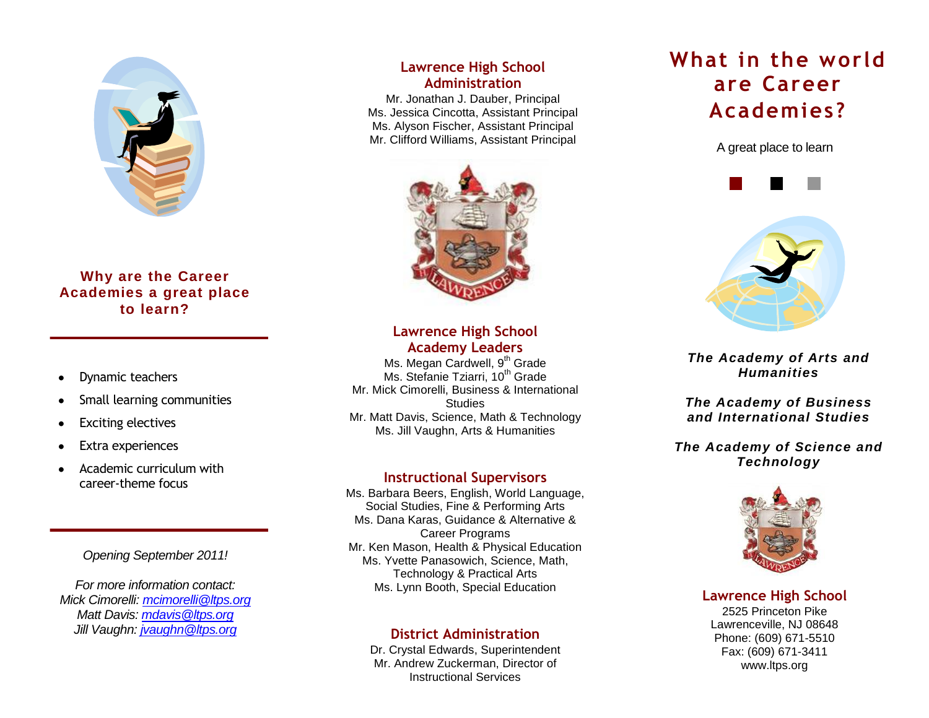

## **Why are the Career Academies a great place to learn?**

- Dynamic teachers
- Small learning communities
- Exciting electives
- Extra experiences
- Academic curriculum with career-theme focus

*Opening September 2011!*

*For more information contact: Mick Cimorelli[: mcimorelli@ltps.org](mailto:mcimorelli@ltps.org) Matt Davis[: mdavis@ltps.org](mailto:mdavis@ltps.org) Jill Vaughn[: jvaughn@ltps.org](mailto:jvaughn@ltps.org)*

## **Lawrence High School Administration**

Mr. Jonathan J. Dauber, Principal Ms. Jessica Cincotta, Assistant Principal Ms. Alyson Fischer, Assistant Principal Mr. Clifford Williams, Assistant Principal



**Lawrence High School Academy Leaders**

Ms. Megan Cardwell, 9<sup>th</sup> Grade Ms. Stefanie Tziarri, 10<sup>th</sup> Grade Mr. Mick Cimorelli, Business & International **Studies** Mr. Matt Davis, Science, Math & Technology Ms. Jill Vaughn, Arts & Humanities

## **Instructional Supervisors**

Ms. Barbara Beers, English, World Language, Social Studies, Fine & Performing Arts Ms. Dana Karas, Guidance & Alternative & Career Programs Mr. Ken Mason, Health & Physical Education Ms. Yvette Panasowich, Science, Math, Technology & Practical Arts Ms. Lynn Booth, Special Education

## **District Administration**

Dr. Crystal Edwards, Superintendent Mr. Andrew Zuckerman, Director of Instructional Services

# **What in the world are Career Academies?**

A great place to learn





*The Academy of Arts and Humanities*

*The Academy of Business and International Studies*

## *The Academy of Science and Technology*



## **Lawrence High School**

2525 Princeton Pike Lawrenceville, NJ 08648 Phone: (609) 671-5510 Fax: (609) 671-3411 www.ltps.org